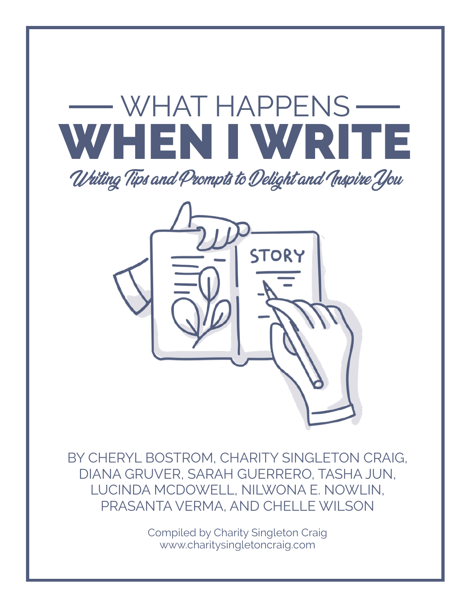



BY CHERYL BOSTROM, CHARITY SINGLETON CRAIG, DIANA GRUVER, SARAH GUERRERO, TASHA JUN, LUCINDA MCDOWELL, NILWONA E. NOWLIN, PRASANTA VERMA, AND CHELLE WILSON

> Compiled by Charity Singleton Craig [www.charitysingletoncraig.com](http://www.charitysingletoncraig.com)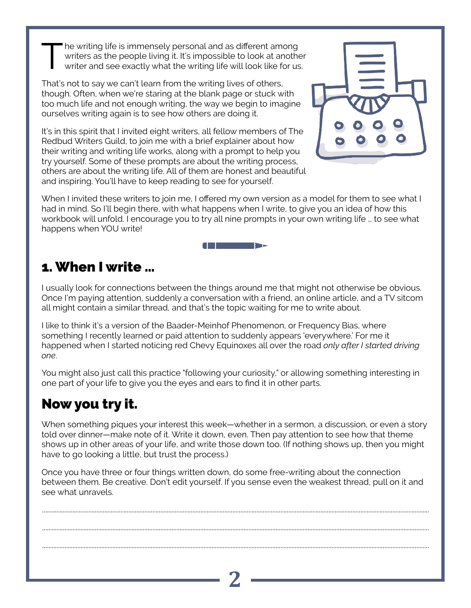the writing life is immensely personal and as different among writers as the people living it. It's impossible to look at another writer and see exactly what the writing life will look like for us.

That's not to say we can't learn from the writing lives of others, though. Often, when we're staring at the blank page or stuck with too much life and not enough writing, the way we begin to imagine ourselves writing again is to see how others are doing it.

It's in this spirit that I invited eight writers, all fellow members of The Redbud Writers Guild, to join me with a brief explainer about how their writing and writing life works, along with a prompt to help you try yourself. Some of these prompts are about the writing process, others are about the writing life. All of them are honest and beautiful and inspiring. You'll have to keep reading to see for yourself.



When I invited these writers to join me, I offered my own version as a model for them to see what I had in mind. So I'll begin there, with what happens when I write, to give you an idea of how this workbook will unfold. I encourage you to try all nine prompts in your own writing life … to see what happens when YOU write!

**International Contract Contract Contract Contract Contract Contract Contract Contract Contract Contract Contract Contract Contract Contract Contract Contract Contract Contract Contract Contract Contract Contract Contract** 

### 1. When I write …

I usually look for connections between the things around me that might not otherwise be obvious. Once I'm paying attention, suddenly a conversation with a friend, an online article, and a TV sitcom all might contain a similar thread, and that's the topic waiting for me to write about.

I like to think it's a version of the Baader-Meinhof Phenomenon, or Frequency Bias, where something I recently learned or paid attention to suddenly appears 'everywhere.' For me it happened when I started noticing red Chevy Equinoxes all over the road *only after I started driving one*.

You might also just call this practice "following your curiosity," or allowing something interesting in one part of your life to give you the eyes and ears to find it in other parts.

# Now you try it.

When something piques your interest this week—whether in a sermon, a discussion, or even a story told over dinner—make note of it. Write it down, even. Then pay attention to see how that theme shows up in other areas of your life, and write those down too. (If nothing shows up, then you might have to go looking a little, but trust the process.)

Once you have three or four things written down, do some free-writing about the connection between them. Be creative. Don't edit yourself. If you sense even the weakest thread, pull on it and see what unravels.

..................................................................................................................................................................................................................................................

..................................................................................................................................................................................................................................................

..................................................................................................................................................................................................................................................

**2**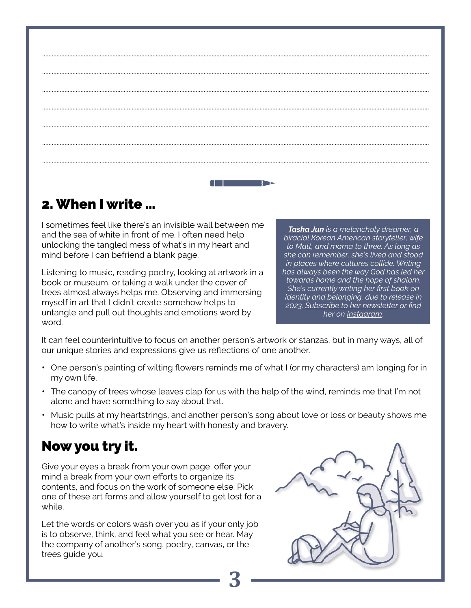

I sometimes feel like there's an invisible wall between me and the sea of white in front of me. I often need help unlocking the tangled mess of what's in my heart and mind before I can befriend a blank page.

Listening to music, reading poetry, looking at artwork in a book or museum, or taking a walk under the cover of trees almost always helps me. Observing and immersing myself in art that I didn't create somehow helps to untangle and pull out thoughts and emotions word by word.

*[Tasha Jun](https://tashajun.com/) is a melancholy dreamer, a biracial Korean American storyteller, wife to Matt, and mama to three. As long as she can remember, she's lived and stood in places where cultures collide. Writing has always been the way God has led her towards home and the hope of shalom. She's currently writing her first book on identity and belonging, due to release in 2023. [Subscribe to her newsletter](http://bit.ly/3C1JDtb) or find her on [Instagram.](http://www.instagram.com/tashajunb)*

It can feel counterintuitive to focus on another person's artwork or stanzas, but in many ways, all of our unique stories and expressions give us reflections of one another.

- One person's painting of wilting flowers reminds me of what I (or my characters) am longing for in my own life.
- The canopy of trees whose leaves clap for us with the help of the wind, reminds me that I'm not alone and have something to say about that.
- Music pulls at my heartstrings, and another person's song about love or loss or beauty shows me how to write what's inside my heart with honesty and bravery.

**3**

### Now you try it.

Give your eyes a break from your own page, offer your mind a break from your own efforts to organize its contents, and focus on the work of someone else. Pick one of these art forms and allow yourself to get lost for a while.

Let the words or colors wash over you as if your only job is to observe, think, and feel what you see or hear. May the company of another's song, poetry, canvas, or the trees guide you.

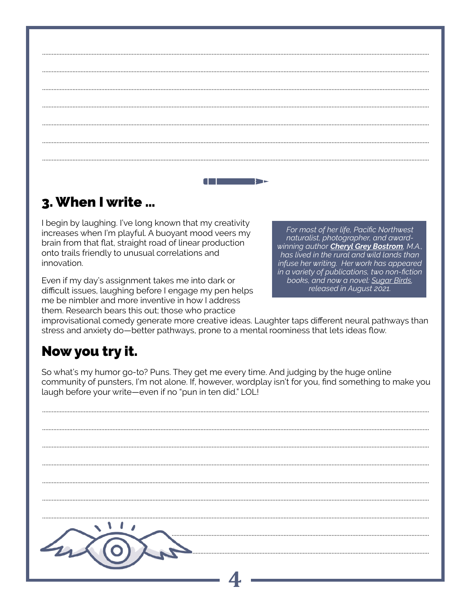

### 3. When I write ...

I begin by laughing. I've long known that my creativity increases when I'm playful. A buoyant mood veers my brain from that flat, straight road of linear production onto trails friendly to unusual correlations and innovation.

Even if my day's assignment takes me into dark or difficult issues, laughing before I engage my pen helps me be nimbler and more inventive in how I address them. Research bears this out; those who practice

For most of her life, Pacific Northwest naturalist, photographer, and awardwinning author **Cheryl Grey Bostrom**, M.A., has lived in the rural and wild lands than infuse her writing. Her work has appeared in a variety of publications, two non-fiction books, and now a novel: Sugar Birds, released in August 2021.

improvisational comedy generate more creative ideas. Laughter taps different neural pathways than stress and anxiety do-better pathways, prone to a mental roominess that lets ideas flow.

### Now you try it.

So what's my humor go-to? Puns. They get me every time. And judging by the huge online community of punsters, I'm not alone. If, however, wordplay isn't for you, find something to make you laugh before your write-even if no "pun in ten did." LOL!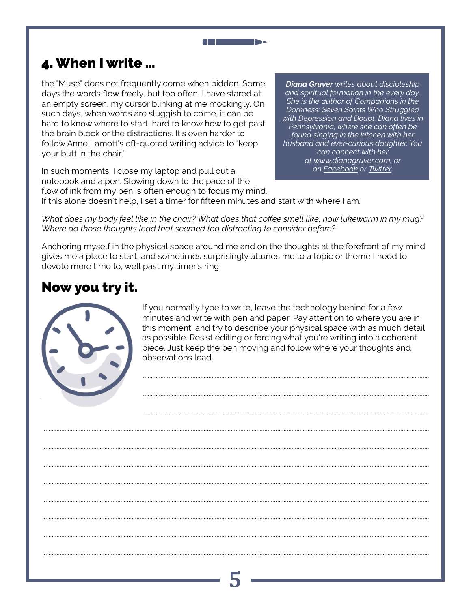the "Muse" does not frequently come when bidden. Some days the words flow freely, but too often, I have stared at an empty screen, my cursor blinking at me mockingly. On such days, when words are sluggish to come, it can be hard to know where to start, hard to know how to get past the brain block or the distractions. It's even harder to follow Anne Lamott's oft-quoted writing advice to "keep your butt in the chair."

In such moments, I close my laptop and pull out a notebook and a pen. Slowing down to the pace of the flow of ink from my pen is often enough to focus my mind.

*Diana Gruver writes about discipleship and spiritual formation in the every day. She is the author of [Companions in the](https://www.amazon.com/Companions-Darkness-Saints-Struggled-Depression/dp/0830848282/)  [Darkness: Seven Saints Who Struggled](https://www.amazon.com/Companions-Darkness-Saints-Struggled-Depression/dp/0830848282/)  [with Depression and Doubt. Diana lives in](https://www.amazon.com/Companions-Darkness-Saints-Struggled-Depression/dp/0830848282/) Pennsylvania, where she can often be found singing in the kitchen with her husband and ever-curious daughter. You can connect with her at [www.dianagruver.com,](http://www.dianagruver.com) or on [Facebook](https://www.facebook.com/dianagruverwriter) or [Twitter.](https://twitter.com/dianagruver)*

If this alone doesn't help, I set a timer for fifteen minutes and start with where I am.

*What does my body feel like in the chair? What does that coffee smell like, now lukewarm in my mug? Where do those thoughts lead that seemed too distracting to consider before?*

**I DE L'ANSIER** 

Anchoring myself in the physical space around me and on the thoughts at the forefront of my mind gives me a place to start, and sometimes surprisingly attunes me to a topic or theme I need to devote more time to, well past my timer's ring.

#### Now you try it.



If you normally type to write, leave the technology behind for a few minutes and write with pen and paper. Pay attention to where you are in this moment, and try to describe your physical space with as much detail as possible. Resist editing or forcing what you're writing into a coherent piece. Just keep the pen moving and follow where your thoughts and observations lead.

...................................................................................................................................................................................

...................................................................................................................................................................................

...................................................................................................................................................................................

..................................................................................................................................................................................................................................................

..................................................................................................................................................................................................................................................

..................................................................................................................................................................................................................................................

..................................................................................................................................................................................................................................................

..................................................................................................................................................................................................................................................

..................................................................................................................................................................................................................................................

..................................................................................................................................................................................................................................................

..................................................................................................................................................................................................................................................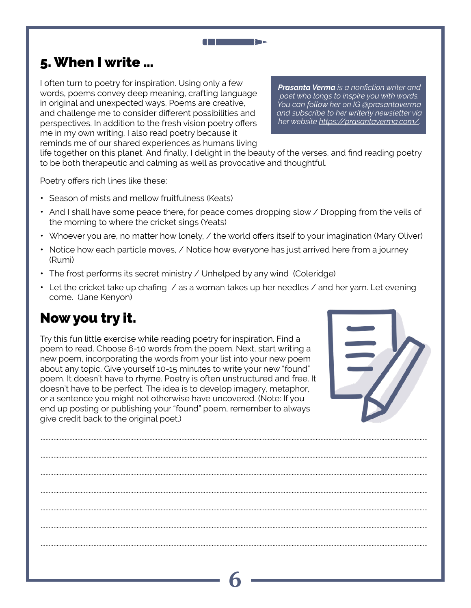I often turn to poetry for inspiration. Using only a few words, poems convey deep meaning, crafting language in original and unexpected ways. Poems are creative, and challenge me to consider different possibilities and perspectives. In addition to the fresh vision poetry offers me in my own writing, I also read poetry because it reminds me of our shared experiences as humans living

*Prasanta Verma is a nonfiction writer and poet who longs to inspire you with words. You can follow her on IG @prasantaverma and subscribe to her writerly newsletter via her website [https://prasantaverma.com/.](https://prasantaverma.com/)*

life together on this planet. And finally, I delight in the beauty of the verses, and find reading poetry to be both therapeutic and calming as well as provocative and thoughtful.

**I DE L'ANSIER** 

Poetry offers rich lines like these:

- Season of mists and mellow fruitfulness (Keats)
- And I shall have some peace there, for peace comes dropping slow / Dropping from the veils of the morning to where the cricket sings (Yeats)
- Whoever you are, no matter how lonely, / the world offers itself to your imagination (Mary Oliver)
- Notice how each particle moves, / Notice how everyone has just arrived here from a journey (Rumi)
- The frost performs its secret ministry / Unhelped by any wind (Coleridge)
- Let the cricket take up chafing / as a woman takes up her needles / and her yarn. Let evening come. (Jane Kenyon)

..................................................................................................................................................................................................................................................

..................................................................................................................................................................................................................................................

..................................................................................................................................................................................................................................................

..................................................................................................................................................................................................................................................

..................................................................................................................................................................................................................................................

..................................................................................................................................................................................................................................................

..................................................................................................................................................................................................................................................

**6**

# Now you try it.

Try this fun little exercise while reading poetry for inspiration. Find a poem to read. Choose 6-10 words from the poem. Next, start writing a new poem, incorporating the words from your list into your new poem about any topic. Give yourself 10-15 minutes to write your new "found" poem. It doesn't have to rhyme. Poetry is often unstructured and free. It doesn't have to be perfect. The idea is to develop imagery, metaphor, or a sentence you might not otherwise have uncovered. (Note: If you end up posting or publishing your "found" poem, remember to always give credit back to the original poet.)

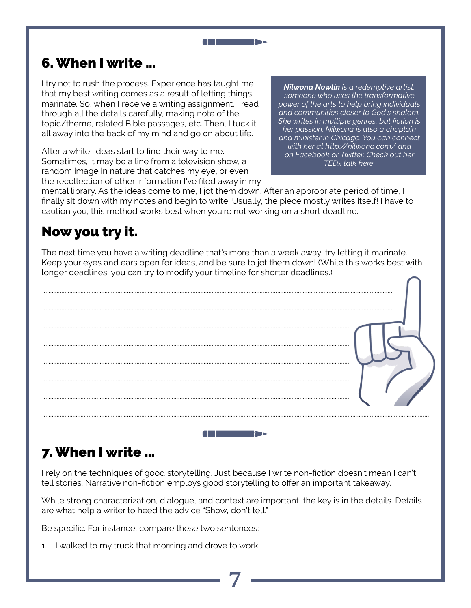I try not to rush the process. Experience has taught me that my best writing comes as a result of letting things marinate. So, when I receive a writing assignment, I read through all the details carefully, making note of the topic/theme, related Bible passages, etc. Then, I tuck it all away into the back of my mind and go on about life.

After a while, ideas start to find their way to me. Sometimes, it may be a line from a television show, a random image in nature that catches my eye, or even the recollection of other information I've filed away in my

*Nilwona Nowlin is a redemptive artist, someone who uses the transformative power of the arts to help bring individuals and communities closer to God's shalom. She writes in multiple genres, but fiction is her passion. Nilwona is also a chaplain and minister in Chicago. You can connect with her at <http://nilwona.com/> and on [Facebook](https://www.facebook.com/TheDreamerSpeaks) or [Twitter](https://twitter.com/nilwona). Check out her TEDx talk [here.](https://www.youtube.com/watch?v=dGFAxzwaTKc)*

mental library. As the ideas come to me, I jot them down. After an appropriate period of time, I finally sit down with my notes and begin to write. Usually, the piece mostly writes itself! I have to caution you, this method works best when you're not working on a short deadline.

**I DE L'ANSIER** 

### Now you try it.

The next time you have a writing deadline that's more than a week away, try letting it marinate. Keep your eyes and ears open for ideas, and be sure to jot them down! (While this works best with longer deadlines, you can try to modify your timeline for shorter deadlines.)

# 7. When I write …

I rely on the techniques of good storytelling. Just because I write non-fiction doesn't mean I can't tell stories. Narrative non-fiction employs good storytelling to offer an important takeaway.

**All Dealers and Dealers** 

While strong characterization, dialogue, and context are important, the key is in the details. Details are what help a writer to heed the advice "Show, don't tell."

**7**

Be specific. For instance, compare these two sentences:

1. I walked to my truck that morning and drove to work.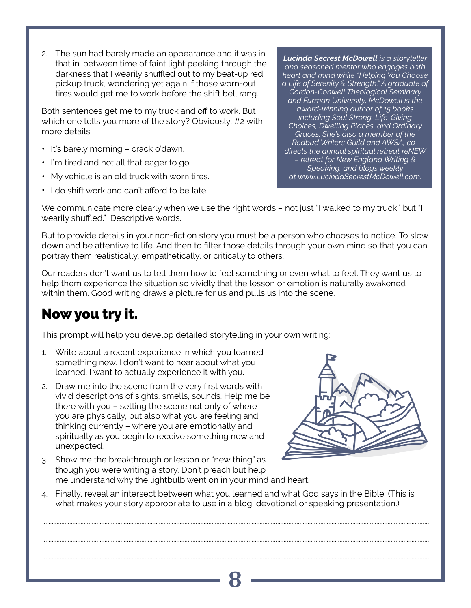2. The sun had barely made an appearance and it was in that in-between time of faint light peeking through the darkness that I wearily shuffled out to my beat-up red pickup truck, wondering yet again if those worn-out tires would get me to work before the shift bell rang.

Both sentences get me to my truck and off to work. But which one tells you more of the story? Obviously, #2 with more details:

- It's barely morning crack o'dawn.
- I'm tired and not all that eager to go.
- My vehicle is an old truck with worn tires.
- I do shift work and can't afford to be late.

*Lucinda Secrest McDowell is a storyteller and seasoned mentor who engages both heart and mind while "Helping You Choose a Life of Serenity & Strength." A graduate of Gordon-Conwell Theological Seminary and Furman University, McDowell is the award-winning author of 15 books including Soul Strong, Life-Giving Choices, Dwelling Places, and Ordinary Graces. She's also a member of the Redbud Writers Guild and AWSA, codirects the annual spiritual retreat reNEW – retreat for New England Writing & Speaking, and blogs weekly at [www.LucindaSecrestMcDowell.com](http://www.LucindaSecrestMcDowell.com).*

We communicate more clearly when we use the right words – not just "I walked to my truck," but "I wearily shuffled." Descriptive words.

But to provide details in your non-fiction story you must be a person who chooses to notice. To slow down and be attentive to life. And then to filter those details through your own mind so that you can portray them realistically, empathetically, or critically to others.

Our readers don't want us to tell them how to feel something or even what to feel. They want us to help them experience the situation so vividly that the lesson or emotion is naturally awakened within them. Good writing draws a picture for us and pulls us into the scene.

# Now you try it.

This prompt will help you develop detailed storytelling in your own writing:

- 1. Write about a recent experience in which you learned something new. I don't want to hear about what you learned; I want to actually experience it with you.
- 2. Draw me into the scene from the very first words with vivid descriptions of sights, smells, sounds. Help me be there with you – setting the scene not only of where you are physically, but also what you are feeling and thinking currently – where you are emotionally and spiritually as you begin to receive something new and unexpected.
- 
- 3. Show me the breakthrough or lesson or "new thing" as though you were writing a story. Don't preach but help me understand why the lightbulb went on in your mind and heart.
- 4. Finally, reveal an intersect between what you learned and what God says in the Bible. (This is what makes your story appropriate to use in a blog, devotional or speaking presentation.)

..................................................................................................................................................................................................................................................

..................................................................................................................................................................................................................................................

..................................................................................................................................................................................................................................................

**8**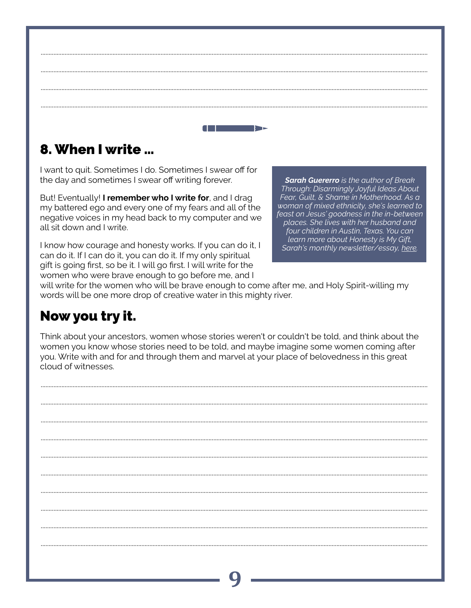### 8. When I write ...

I want to quit. Sometimes I do. Sometimes I swear off for the day and sometimes I swear off writing forever.

But! Eventually! I remember who I write for, and I drag my battered ego and every one of my fears and all of the negative voices in my head back to my computer and we all sit down and I write.

I know how courage and honesty works. If you can do it, I can do it. If I can do it, you can do it. If my only spiritual gift is going first, so be it. I will go first. I will write for the women who were brave enough to go before me, and I

**Sarah Guererro** is the author of Break Through: Disarmingly Joyful Ideas About Fear, Guilt, & Shame in Motherhood. As a woman of mixed ethnicity, she's learned to feast on Jesus' goodness in the in-between places. She lives with her husband and four children in Austin, Texas. You can learn more about Honesty is My Gift, Sarah's monthly newsletter/essay, here.

will write for the women who will be brave enough to come after me, and Holy Spirit-willing my words will be one more drop of creative water in this mighty river.

**All Britain Research** 

#### Now you try it.

Think about your ancestors, women whose stories weren't or couldn't be told, and think about the women you know whose stories need to be told, and maybe imagine some women coming after you. Write with and for and through them and marvel at your place of belovedness in this great cloud of witnesses.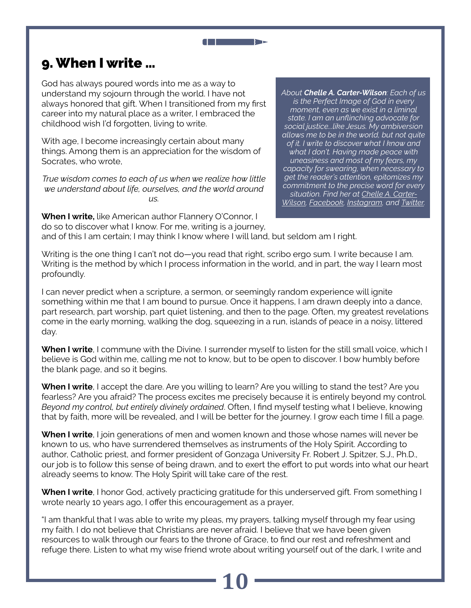God has always poured words into me as a way to understand my sojourn through the world. I have not always honored that gift. When I transitioned from my first career into my natural place as a writer, I embraced the childhood wish I'd forgotten, living to write.

With age, I become increasingly certain about many things. Among them is an appreciation for the wisdom of Socrates, who wrote,

*True wisdom comes to each of us when we realize how little we understand about life, ourselves, and the world around us.*

**When I write,** like American author Flannery O'Connor, I do so to discover what I know. For me, writing is a journey, *About Chelle A. Carter-Wilson: Each of us is the Perfect Image of God in every moment, even as we exist in a liminal state. I am an unflinching advocate for social justice...like Jesus. My ambiversion allows me to be in the world, but not quite of it. I write to discover what I know and what I don't. Having made peace with uneasiness and most of my fears, my capacity for swearing, when necessary to get the reader's attention, epitomizes my commitment to the precise word for every situation. Find her at [Chelle A. Carter-](https://chelleawilson.com/)[Wilson](https://chelleawilson.com/), [Facebook,](https://www.facebook.com/ChelleAWilsonTreatMeToAFeast) [Instagram](http://treatmetoafeast_holybadass/), and [Twitter](http://treatmetoafeast/).*

and of this I am certain; I may think I know where I will land, but seldom am I right.

Writing is the one thing I can't not do—you read that right, scribo ergo sum. I write because I am. Writing is the method by which I process information in the world, and in part, the way I learn most profoundly.

**I DE L'ANSIER** 

I can never predict when a scripture, a sermon, or seemingly random experience will ignite something within me that I am bound to pursue. Once it happens, I am drawn deeply into a dance, part research, part worship, part quiet listening, and then to the page. Often, my greatest revelations come in the early morning, walking the dog, squeezing in a run, islands of peace in a noisy, littered day.

**When I write**, I commune with the Divine. I surrender myself to listen for the still small voice, which I believe is God within me, calling me not to know, but to be open to discover. I bow humbly before the blank page, and so it begins.

**When I write**, I accept the dare. Are you willing to learn? Are you willing to stand the test? Are you fearless? Are you afraid? The process excites me precisely because it is entirely beyond my control. *Beyond my control, but entirely divinely ordained*. Often, I find myself testing what I believe, knowing that by faith, more will be revealed, and I will be better for the journey. I grow each time I fill a page.

**When I write**, I join generations of men and women known and those whose names will never be known to us, who have surrendered themselves as instruments of the Holy Spirit. According to author, Catholic priest, and former president of Gonzaga University Fr. Robert J. Spitzer, S.J., Ph.D., our job is to follow this sense of being drawn, and to exert the effort to put words into what our heart already seems to know. The Holy Spirit will take care of the rest.

**When I write**, I honor God, actively practicing gratitude for this underserved gift. From something I wrote nearly 10 years ago, I offer this encouragement as a prayer,

"I am thankful that I was able to write my pleas, my prayers, talking myself through my fear using my faith. I do not believe that Christians are never afraid. I believe that we have been given resources to walk through our fears to the throne of Grace, to find our rest and refreshment and refuge there. Listen to what my wise friend wrote about writing yourself out of the dark, I write and

**10**